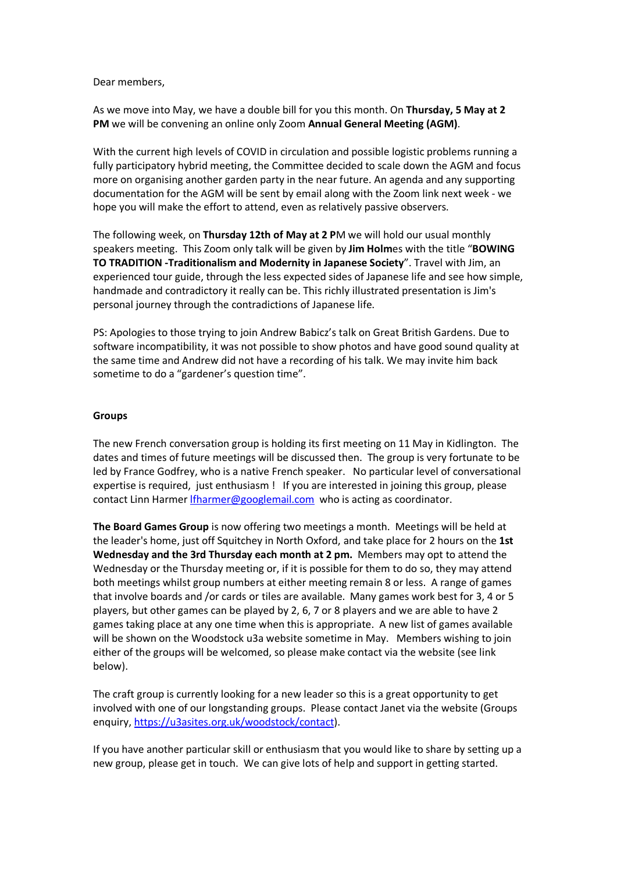Dear members,

As we move into May, we have a double bill for you this month. On **Thursday, 5 May at 2 PM** we will be convening an online only Zoom **Annual General Meeting (AGM)**.

With the current high levels of COVID in circulation and possible logistic problems running a fully participatory hybrid meeting, the Committee decided to scale down the AGM and focus more on organising another garden party in the near future. An agenda and any supporting documentation for the AGM will be sent by email along with the Zoom link next week - we hope you will make the effort to attend, even as relatively passive observers.

The following week, on **Thursday 12th of May at 2 P**M we will hold our usual monthly speakers meeting. This Zoom only talk will be given by **Jim Holm**es with the title "**BOWING TO TRADITION -Traditionalism and Modernity in Japanese Society**". Travel with Jim, an experienced tour guide, through the less expected sides of Japanese life and see how simple, handmade and contradictory it really can be. This richly illustrated presentation is Jim's personal journey through the contradictions of Japanese life.

PS: Apologies to those trying to join Andrew Babicz's talk on Great British Gardens. Due to software incompatibility, it was not possible to show photos and have good sound quality at the same time and Andrew did not have a recording of his talk. We may invite him back sometime to do a "gardener's question time".

## **Groups**

The new French conversation group is holding its first meeting on 11 May in Kidlington. The dates and times of future meetings will be discussed then. The group is very fortunate to be led by France Godfrey, who is a native French speaker. No particular level of conversational expertise is required, just enthusiasm ! If you are interested in joining this group, please contact Linn Harmer Ifharmer@googlemail.com who is acting as coordinator.

**The Board Games Group** is now offering two meetings a month. Meetings will be held at the leader's home, just off Squitchey in North Oxford, and take place for 2 hours on the **1st Wednesday and the 3rd Thursday each month at 2 pm.** Members may opt to attend the Wednesday or the Thursday meeting or, if it is possible for them to do so, they may attend both meetings whilst group numbers at either meeting remain 8 or less. A range of games that involve boards and /or cards or tiles are available. Many games work best for 3, 4 or 5 players, but other games can be played by 2, 6, 7 or 8 players and we are able to have 2 games taking place at any one time when this is appropriate. A new list of games available will be shown on the Woodstock u3a website sometime in May. Members wishing to join either of the groups will be welcomed, so please make contact via the website (see link below).

The craft group is currently looking for a new leader so this is a great opportunity to get involved with one of our longstanding groups. Please contact Janet via the website (Groups enquiry, https://u3asites.org.uk/woodstock/contact).

If you have another particular skill or enthusiasm that you would like to share by setting up a new group, please get in touch. We can give lots of help and support in getting started.